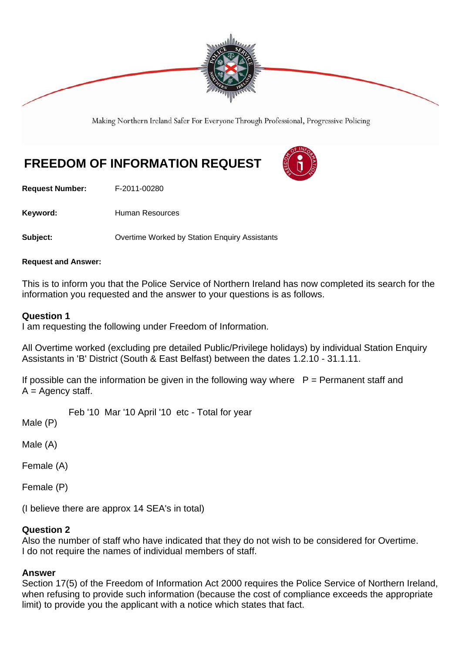

Making Northern Ireland Safer For Everyone Through Professional, Progressive Policing

# **FREEDOM OF INFORMATION REQUEST**

**Request Number:** F-2011-00280

Keyword: **Human Resources** 

**Subject: Conservertime Worked by Station Enquiry Assistants** 

### **Request and Answer:**

This is to inform you that the Police Service of Northern Ireland has now completed its search for the information you requested and the answer to your questions is as follows.

## **Question 1**

I am requesting the following under Freedom of Information.

All Overtime worked (excluding pre detailed Public/Privilege holidays) by individual Station Enquiry Assistants in 'B' District (South & East Belfast) between the dates 1.2.10 - 31.1.11.

If possible can the information be given in the following way where  $P = P$ ermanent staff and  $A =$  Agency staff.

Feb '10 Mar '10 April '10 etc - Total for year

Male (P)

Male (A)

Female (A)

Female (P)

(I believe there are approx 14 SEA's in total)

## **Question 2**

Also the number of staff who have indicated that they do not wish to be considered for Overtime. I do not require the names of individual members of staff.

## **Answer**

Section 17(5) of the Freedom of Information Act 2000 requires the Police Service of Northern Ireland, when refusing to provide such information (because the cost of compliance exceeds the appropriate limit) to provide you the applicant with a notice which states that fact.